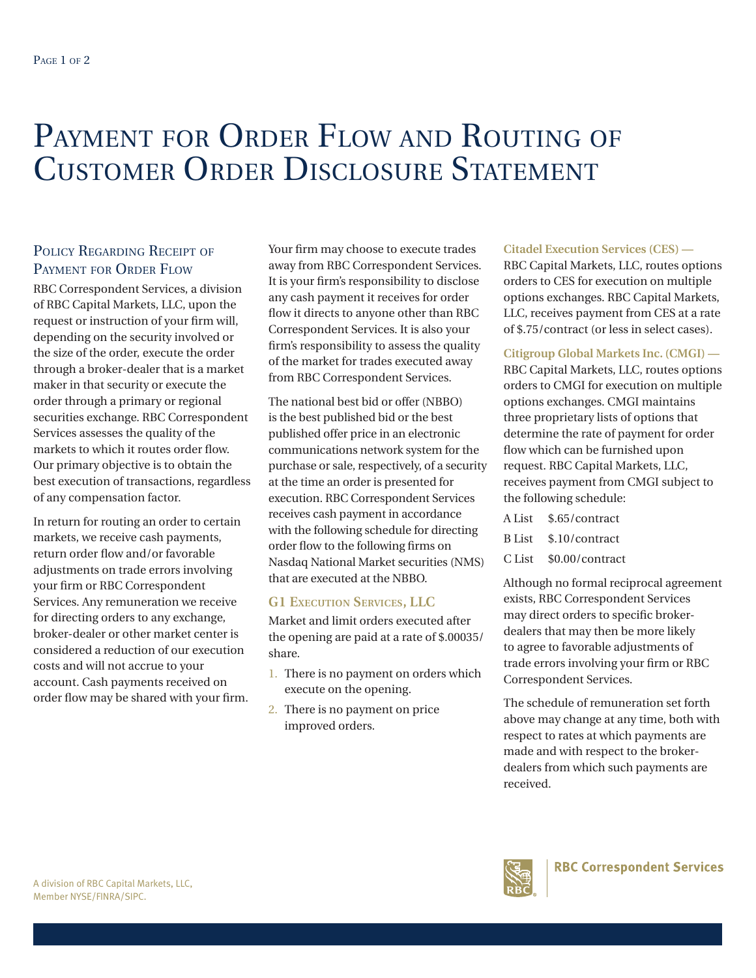# PAYMENT FOR ORDER FLOW AND ROUTING OF Customer Order Disclosure Statement

## POLICY REGARDING RECEIPT OF Payment for Order Flow

RBC Correspondent Services, a division of RBC Capital Markets, LLC, upon the request or instruction of your firm will, depending on the security involved or the size of the order, execute the order through a broker-dealer that is a market maker in that security or execute the order through a primary or regional securities exchange. RBC Correspondent Services assesses the quality of the markets to which it routes order flow. Our primary objective is to obtain the best execution of transactions, regardless of any compensation factor.

In return for routing an order to certain markets, we receive cash payments, return order flow and/or favorable adjustments on trade errors involving your firm or RBC Correspondent Services. Any remuneration we receive for directing orders to any exchange, broker-dealer or other market center is considered a reduction of our execution costs and will not accrue to your account. Cash payments received on order flow may be shared with your firm. Your firm may choose to execute trades away from RBC Correspondent Services. It is your firm's responsibility to disclose any cash payment it receives for order flow it directs to anyone other than RBC Correspondent Services. It is also your firm's responsibility to assess the quality of the market for trades executed away from RBC Correspondent Services.

The national best bid or offer (NBBO) is the best published bid or the best published offer price in an electronic communications network system for the purchase or sale, respectively, of a security at the time an order is presented for execution. RBC Correspondent Services receives cash payment in accordance with the following schedule for directing order flow to the following firms on Nasdaq National Market securities (NMS) that are executed at the NBBO.

### **G1 Execution Services, LLC**

Market and limit orders executed after the opening are paid at a rate of \$.00035/ share.

- 1. There is no payment on orders which execute on the opening.
- 2. There is no payment on price improved orders.

#### **Citadel Execution Services (CES) —**

RBC Capital Markets, LLC, routes options orders to CES for execution on multiple options exchanges. RBC Capital Markets, LLC, receives payment from CES at a rate of \$.75/contract (or less in select cases).

#### **Citigroup Global Markets Inc. (CMGI) —**

RBC Capital Markets, LLC, routes options orders to CMGI for execution on multiple options exchanges. CMGI maintains three proprietary lists of options that determine the rate of payment for order flow which can be furnished upon request. RBC Capital Markets, LLC, receives payment from CMGI subject to the following schedule:

| A List \$.65/contract  |
|------------------------|
| B List \$.10/contract  |
| C List \$0.00/contract |

Although no formal reciprocal agreement exists, RBC Correspondent Services may direct orders to specific brokerdealers that may then be more likely to agree to favorable adjustments of trade errors involving your firm or RBC Correspondent Services.

The schedule of remuneration set forth above may change at any time, both with respect to rates at which payments are made and with respect to the brokerdealers from which such payments are received.

**RBC Correspondent Services**